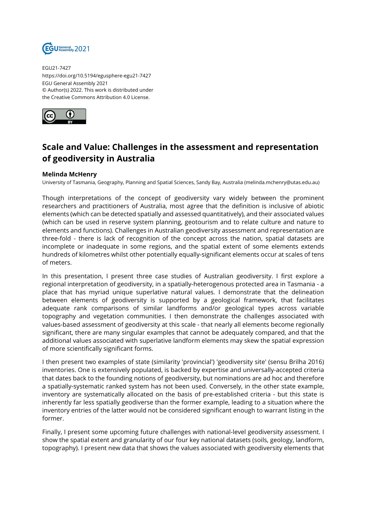

EGU21-7427 https://doi.org/10.5194/egusphere-egu21-7427 EGU General Assembly 2021 © Author(s) 2022. This work is distributed under the Creative Commons Attribution 4.0 License.



## **Scale and Value: Challenges in the assessment and representation of geodiversity in Australia**

## **Melinda McHenry**

University of Tasmania, Geography, Planning and Spatial Sciences, Sandy Bay, Australia (melinda.mchenry@utas.edu.au)

Though interpretations of the concept of geodiversity vary widely between the prominent researchers and practitioners of Australia, most agree that the definition is inclusive of abiotic elements (which can be detected spatially and assessed quantitatively), and their associated values (which can be used in reserve system planning, geotourism and to relate culture and nature to elements and functions). Challenges in Australian geodiversity assessment and representation are three-fold - there is lack of recognition of the concept across the nation, spatial datasets are incomplete or inadequate in some regions, and the spatial extent of some elements extends hundreds of kilometres whilst other potentially equally-significant elements occur at scales of tens of meters.

In this presentation, I present three case studies of Australian geodiversity. I first explore a regional interpretation of geodiversity, in a spatially-heterogenous protected area in Tasmania - a place that has myriad unique superlative natural values. I demonstrate that the delineation between elements of geodiversity is supported by a geological framework, that facilitates adequate rank comparisons of similar landforms and/or geological types across variable topography and vegetation communities. I then demonstrate the challenges associated with values-based assessment of geodiversity at this scale - that nearly all elements become regionally significant, there are many singular examples that cannot be adequately compared, and that the additional values associated with superlative landform elements may skew the spatial expression of more scientifically significant forms.

I then present two examples of state (similarity 'provincial') 'geodiversity site' (sensu Brilha 2016) inventories. One is extensively populated, is backed by expertise and universally-accepted criteria that dates back to the founding notions of geodiversity, but nominations are ad hoc and therefore a spatially-systematic ranked system has not been used. Conversely, in the other state example, inventory are systematically allocated on the basis of pre-established criteria - but this state is inherently far less spatially geodiverse than the former example, leading to a situation where the inventory entries of the latter would not be considered significant enough to warrant listing in the former.

Finally, I present some upcoming future challenges with national-level geodiversity assessment. I show the spatial extent and granularity of our four key national datasets (soils, geology, landform, topography). I present new data that shows the values associated with geodiversity elements that